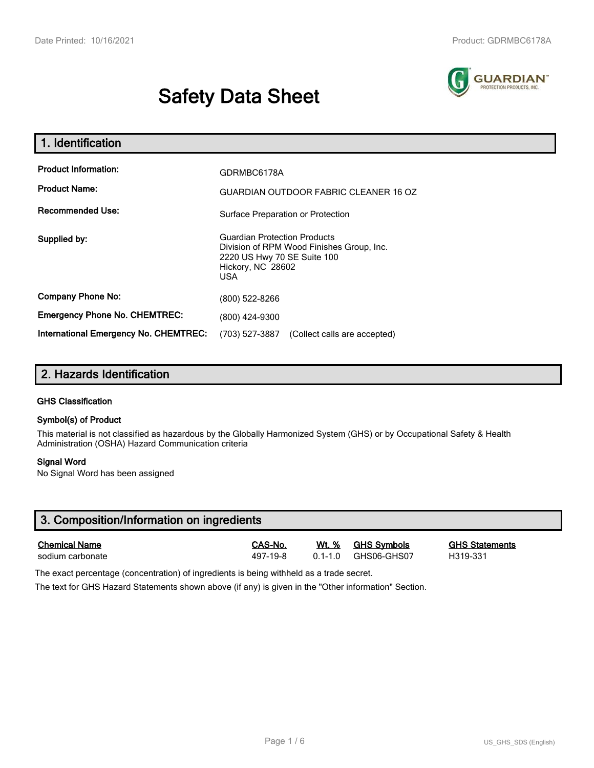# **Safety Data Sheet**



| 1. Identification                                   |                                                                                                                                             |  |  |  |
|-----------------------------------------------------|---------------------------------------------------------------------------------------------------------------------------------------------|--|--|--|
| <b>Product Information:</b><br><b>Product Name:</b> | GDRMBC6178A<br><b>GUARDIAN OUTDOOR FABRIC CLEANER 16 OZ</b>                                                                                 |  |  |  |
| <b>Recommended Use:</b>                             | Surface Preparation or Protection                                                                                                           |  |  |  |
| Supplied by:                                        | <b>Guardian Protection Products</b><br>Division of RPM Wood Finishes Group, Inc.<br>2220 US Hwy 70 SE Suite 100<br>Hickory, NC 28602<br>USA |  |  |  |
| <b>Company Phone No:</b>                            | (800) 522-8266                                                                                                                              |  |  |  |
| <b>Emergency Phone No. CHEMTREC:</b>                | (800) 424-9300                                                                                                                              |  |  |  |
| International Emergency No. CHEMTREC:               | (703) 527-3887<br>(Collect calls are accepted)                                                                                              |  |  |  |

## **2. Hazards Identification**

#### **GHS Classification**

#### **Symbol(s) of Product**

This material is not classified as hazardous by the Globally Harmonized System (GHS) or by Occupational Safety & Health Administration (OSHA) Hazard Communication criteria

#### **Signal Word**

No Signal Word has been assigned

| 3. Composition/Information on ingredients |          |         |             |                       |  |  |
|-------------------------------------------|----------|---------|-------------|-----------------------|--|--|
| <b>Chemical Name</b>                      | CAS-No.  | Wt. %   | GHS Svmbols | <b>GHS Statements</b> |  |  |
| sodium carbonate                          | 497-19-8 | 0.1-1.0 | GHS06-GHS07 | H319-331              |  |  |

The exact percentage (concentration) of ingredients is being withheld as a trade secret.

The text for GHS Hazard Statements shown above (if any) is given in the "Other information" Section.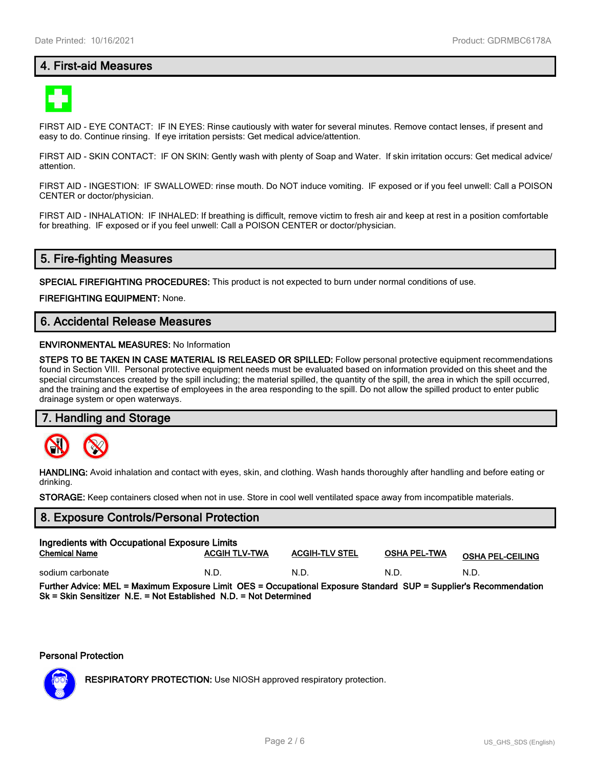## **4. First-aid Measures**



FIRST AID - EYE CONTACT: IF IN EYES: Rinse cautiously with water for several minutes. Remove contact lenses, if present and easy to do. Continue rinsing. If eye irritation persists: Get medical advice/attention.

FIRST AID - SKIN CONTACT: IF ON SKIN: Gently wash with plenty of Soap and Water. If skin irritation occurs: Get medical advice/ attention.

FIRST AID - INGESTION: IF SWALLOWED: rinse mouth. Do NOT induce vomiting. IF exposed or if you feel unwell: Call a POISON CENTER or doctor/physician.

FIRST AID - INHALATION: IF INHALED: If breathing is difficult, remove victim to fresh air and keep at rest in a position comfortable for breathing. IF exposed or if you feel unwell: Call a POISON CENTER or doctor/physician.

## **5. Fire-fighting Measures**

**SPECIAL FIREFIGHTING PROCEDURES:** This product is not expected to burn under normal conditions of use.

**FIREFIGHTING EQUIPMENT:** None.

## **6. Accidental Release Measures**

#### **ENVIRONMENTAL MEASURES:** No Information

**STEPS TO BE TAKEN IN CASE MATERIAL IS RELEASED OR SPILLED:** Follow personal protective equipment recommendations found in Section VIII. Personal protective equipment needs must be evaluated based on information provided on this sheet and the special circumstances created by the spill including; the material spilled, the quantity of the spill, the area in which the spill occurred, and the training and the expertise of employees in the area responding to the spill. Do not allow the spilled product to enter public drainage system or open waterways.

#### **7. Handling and Storage**



**HANDLING:** Avoid inhalation and contact with eyes, skin, and clothing. Wash hands thoroughly after handling and before eating or drinking.

**STORAGE:** Keep containers closed when not in use. Store in cool well ventilated space away from incompatible materials.

# **8. Exposure Controls/Personal Protection Ingredients with Occupational Exposure Limits Chemical Name ACGIH TLV-TWA ACGIH-TLV STEL OSHA PEL-TWA OSHA PEL-CEILING** sodium carbonate  $N.D.$  N.D. N.D. N.D. N.D. N.D. N.D. **Further Advice: MEL = Maximum Exposure Limit OES = Occupational Exposure Standard SUP = Supplier's Recommendation Sk = Skin Sensitizer N.E. = Not Established N.D. = Not Determined**

#### **Personal Protection**



**RESPIRATORY PROTECTION:** Use NIOSH approved respiratory protection.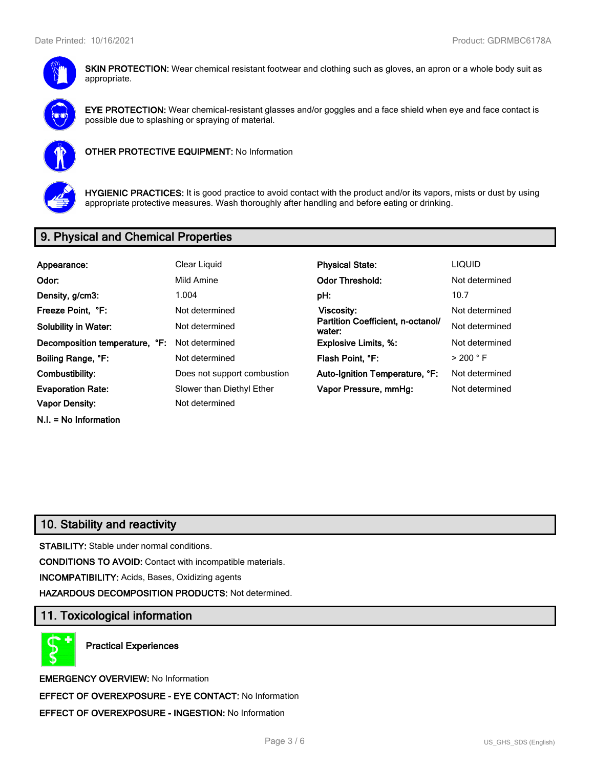

**SKIN PROTECTION:** Wear chemical resistant footwear and clothing such as gloves, an apron or a whole body suit as appropriate.



**EYE PROTECTION:** Wear chemical-resistant glasses and/or goggles and a face shield when eye and face contact is possible due to splashing or spraying of material.



**OTHER PROTECTIVE EQUIPMENT:** No Information



**HYGIENIC PRACTICES:** It is good practice to avoid contact with the product and/or its vapors, mists or dust by using appropriate protective measures. Wash thoroughly after handling and before eating or drinking.

# **9. Physical and Chemical Properties**

| Appearance:                    | Clear Liquid                | <b>Physical State:</b>                      | <b>LIQUID</b>        |
|--------------------------------|-----------------------------|---------------------------------------------|----------------------|
| Odor:                          | Mild Amine                  | <b>Odor Threshold:</b>                      | Not determined       |
| Density, g/cm3:                | 1.004                       | pH:                                         | 10.7                 |
| Freeze Point, °F:              | Not determined              | Viscosity:                                  | Not determined       |
| <b>Solubility in Water:</b>    | Not determined              | Partition Coefficient, n-octanol/<br>water: | Not determined       |
| Decomposition temperature, °F: | Not determined              | <b>Explosive Limits, %:</b>                 | Not determined       |
| Boiling Range, °F:             | Not determined              | Flash Point, °F:                            | $>$ 200 $^{\circ}$ F |
| Combustibility:                | Does not support combustion | Auto-Ignition Temperature, °F:              | Not determined       |
| <b>Evaporation Rate:</b>       | Slower than Diethyl Ether   | Vapor Pressure, mmHg:                       | Not determined       |
| <b>Vapor Density:</b>          | Not determined              |                                             |                      |
|                                |                             |                                             |                      |

**N.I. = No Information**

# **10. Stability and reactivity**

**STABILITY:** Stable under normal conditions.

**CONDITIONS TO AVOID:** Contact with incompatible materials.

**INCOMPATIBILITY:** Acids, Bases, Oxidizing agents

**HAZARDOUS DECOMPOSITION PRODUCTS:** Not determined.

## **11. Toxicological information**

**Practical Experiences**

**EMERGENCY OVERVIEW:** No Information **EFFECT OF OVEREXPOSURE - EYE CONTACT:** No Information **EFFECT OF OVEREXPOSURE - INGESTION:** No Information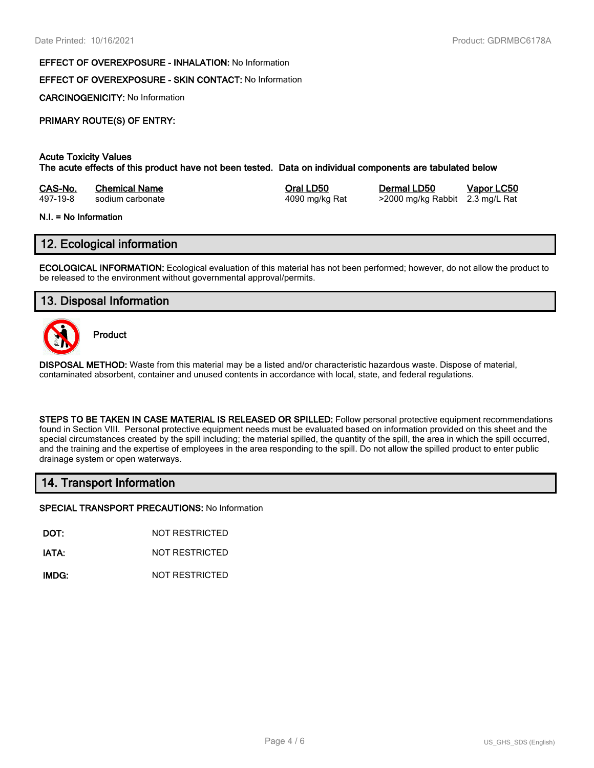#### **EFFECT OF OVEREXPOSURE - INHALATION:** No Information

## **EFFECT OF OVEREXPOSURE - SKIN CONTACT:** No Information

**CARCINOGENICITY:** No Information

## **PRIMARY ROUTE(S) OF ENTRY:**

#### **Acute Toxicity Values The acute effects of this product have not been tested. Data on individual components are tabulated below**

| CAS-No.  | <b>Chemical Name</b> | Oral LD50      | Dermal LD50                     | Vapor LC50 |
|----------|----------------------|----------------|---------------------------------|------------|
| 497-19-8 | sodium carbonate     | 4090 mg/kg Rat | >2000 mg/kg Rabbit 2.3 mg/L Rat |            |

#### **N.I. = No Information**

## **12. Ecological information**

**ECOLOGICAL INFORMATION:** Ecological evaluation of this material has not been performed; however, do not allow the product to be released to the environment without governmental approval/permits.

## **13. Disposal Information**



**Product**

**DISPOSAL METHOD:** Waste from this material may be a listed and/or characteristic hazardous waste. Dispose of material, contaminated absorbent, container and unused contents in accordance with local, state, and federal regulations.

**STEPS TO BE TAKEN IN CASE MATERIAL IS RELEASED OR SPILLED:** Follow personal protective equipment recommendations found in Section VIII. Personal protective equipment needs must be evaluated based on information provided on this sheet and the special circumstances created by the spill including; the material spilled, the quantity of the spill, the area in which the spill occurred, and the training and the expertise of employees in the area responding to the spill. Do not allow the spilled product to enter public drainage system or open waterways.

## **14. Transport Information**

**SPECIAL TRANSPORT PRECAUTIONS:** No Information

**DOT:** NOT RESTRICTED

**IATA:** NOT RESTRICTED

**IMDG:** NOT RESTRICTED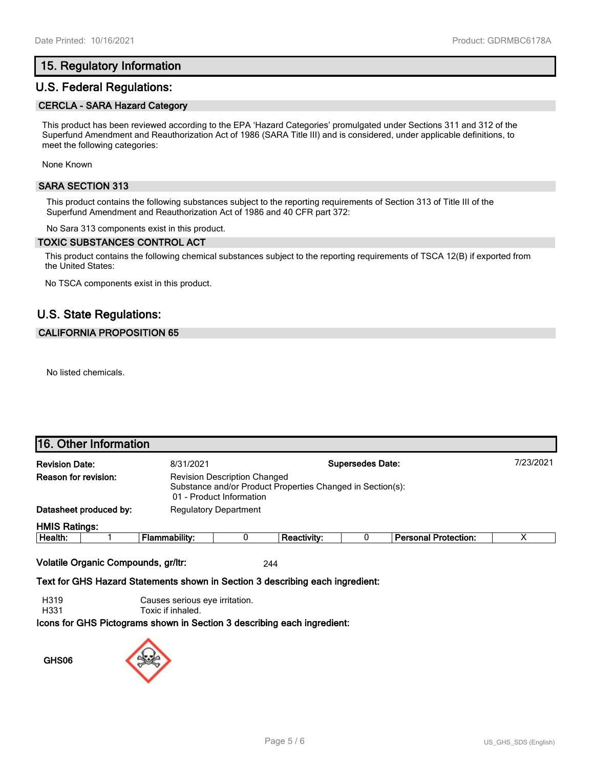## **15. Regulatory Information**

## **U.S. Federal Regulations:**

#### **CERCLA - SARA Hazard Category**

This product has been reviewed according to the EPA 'Hazard Categories' promulgated under Sections 311 and 312 of the Superfund Amendment and Reauthorization Act of 1986 (SARA Title III) and is considered, under applicable definitions, to meet the following categories:

None Known

#### **SARA SECTION 313**

This product contains the following substances subject to the reporting requirements of Section 313 of Title III of the Superfund Amendment and Reauthorization Act of 1986 and 40 CFR part 372:

No Sara 313 components exist in this product.

#### **TOXIC SUBSTANCES CONTROL ACT**

This product contains the following chemical substances subject to the reporting requirements of TSCA 12(B) if exported from the United States:

No TSCA components exist in this product.

## **U.S. State Regulations:**

#### **CALIFORNIA PROPOSITION 65**

No listed chemicals.

|                                                               | <b>16. Other Information</b>                                                                                                                          |               |  |                    |           |                             |  |
|---------------------------------------------------------------|-------------------------------------------------------------------------------------------------------------------------------------------------------|---------------|--|--------------------|-----------|-----------------------------|--|
| <b>Supersedes Date:</b><br><b>Revision Date:</b><br>8/31/2021 |                                                                                                                                                       |               |  |                    | 7/23/2021 |                             |  |
|                                                               | Reason for revision:<br><b>Revision Description Changed</b><br>Substance and/or Product Properties Changed in Section(s):<br>01 - Product Information |               |  |                    |           |                             |  |
| Datasheet produced by:<br><b>Regulatory Department</b>        |                                                                                                                                                       |               |  |                    |           |                             |  |
| <b>HMIS Ratings:</b>                                          |                                                                                                                                                       |               |  |                    |           |                             |  |
| Health:                                                       |                                                                                                                                                       | Flammability: |  | <b>Reactivity:</b> |           | <b>Personal Protection:</b> |  |

**Volatile Organic Compounds, gr/ltr:** 244

**Text for GHS Hazard Statements shown in Section 3 describing each ingredient:**

H319 Causes serious eye irritation.

H331 Toxic if inhaled.

**Icons for GHS Pictograms shown in Section 3 describing each ingredient:**

**GHS06**